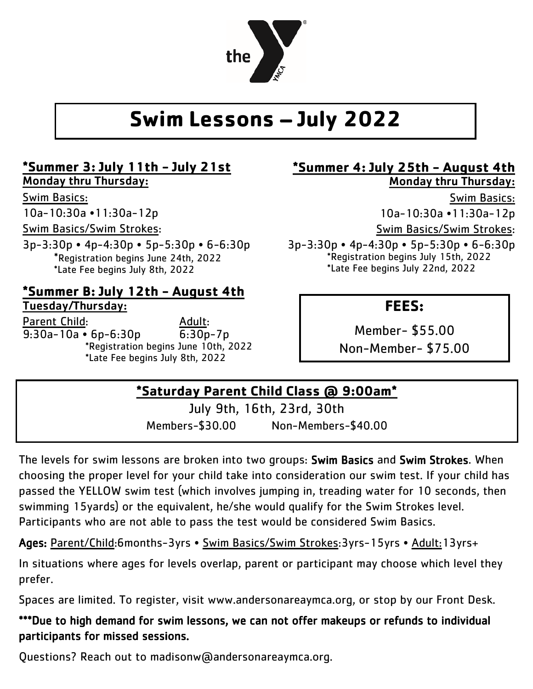

# **Swim Lessons – July 2022**

## **\*Summer 3: July 11th - July 21st**

Monday thru Thursday:

## Swim Basics:

10a-10:30a •11:30a-12p

Swim Basics/Swim Strokes:

3p-3:30p • 4p-4:30p • 5p-5:30p • 6-6:30p \*Registration begins June 24th, 2022 \*Late Fee begins July 8th, 2022

## **\*Summer B: July 12th - August 4th**  Tuesday/Thursday:

Parent Child: Adult:  $\overline{9:30a-10a}$  • 6p-6:30p  $\overline{6:30p-7p}$  \*Registration begins June 10th, 2022 \*Late Fee begins July 8th, 2022

### **\*Summer 4: July 25th - August 4th**  Monday thru Thursday:

Swim Basics:

10a-10:30a •11:30a-12p

Swim Basics/Swim Strokes:

3p-3:30p • 4p-4:30p • 5p-5:30p • 6-6:30p \*Registration begins July 15th, 2022 \*Late Fee begins July 22nd, 2022

## **FEES:**

Member- \$55.00 Non-Member- \$75.00

## **\*Saturday Parent Child Class @ 9:00am\***

July 9th, 16th, 23rd, 30th Members-\$30.00 Non-Members-\$40.00

The levels for swim lessons are broken into two groups: Swim Basics and Swim Strokes. When choosing the proper level for your child take into consideration our swim test. If your child has passed the YELLOW swim test (which involves jumping in, treading water for 10 seconds, then swimming 15yards) or the equivalent, he/she would qualify for the Swim Strokes level. Participants who are not able to pass the test would be considered Swim Basics.

Ages: Parent/Child:6months-3yrs • Swim Basics/Swim Strokes:3yrs-15yrs • Adult:13yrs+

In situations where ages for levels overlap, parent or participant may choose which level they prefer.

Spaces are limited. To register, visit www.andersonareaymca.org, or stop by our Front Desk.

## \*\*\*Due to high demand for swim lessons, we can not offer makeups or refunds to individual participants for missed sessions.

Questions? Reach out to madisonw@andersonareaymca.org.